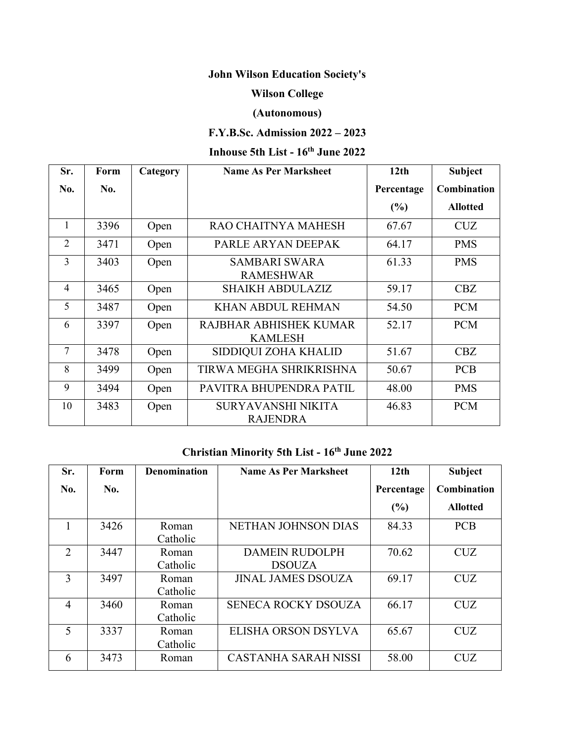# **John Wilson Education Society's**

### **Wilson College**

### **(Autonomous)**

## **F.Y.B.Sc. Admission 2022 – 2023**

#### **Inhouse 5th List - 16 th June 2022**

| Sr.            | Form | Category | <b>Name As Per Marksheet</b>                 | 12 <sub>th</sub> | <b>Subject</b>  |
|----------------|------|----------|----------------------------------------------|------------------|-----------------|
| No.            | No.  |          |                                              | Percentage       | Combination     |
|                |      |          |                                              | (%)              | <b>Allotted</b> |
|                | 3396 | Open     | RAO CHAITNYA MAHESH                          | 67.67            | <b>CUZ</b>      |
| $\overline{2}$ | 3471 | Open     | PARLE ARYAN DEEPAK                           | 64.17            | <b>PMS</b>      |
| $\overline{3}$ | 3403 | Open     | <b>SAMBARI SWARA</b><br><b>RAMESHWAR</b>     | 61.33            | <b>PMS</b>      |
| $\overline{4}$ | 3465 | Open     | <b>SHAIKH ABDULAZIZ</b>                      | 59.17            | CBZ             |
| 5              | 3487 | Open     | <b>KHAN ABDUL REHMAN</b>                     | 54.50            | <b>PCM</b>      |
| 6              | 3397 | Open     | RAJBHAR ABHISHEK KUMAR<br><b>KAMLESH</b>     | 52.17            | <b>PCM</b>      |
| $\tau$         | 3478 | Open     | SIDDIQUI ZOHA KHALID                         | 51.67            | CBZ             |
| 8              | 3499 | Open     | TIRWA MEGHA SHRIKRISHNA                      | 50.67            | <b>PCB</b>      |
| 9              | 3494 | Open     | PAVITRA BHUPENDRA PATIL                      | 48.00            | <b>PMS</b>      |
| 10             | 3483 | Open     | <b>SURYAVANSHI NIKITA</b><br><b>RAJENDRA</b> | 46.83            | <b>PCM</b>      |

#### **Christian Minority 5th List - 16 th June 2022**

| Sr.            | Form                      | <b>Denomination</b> | <b>Name As Per Marksheet</b>           | 12 <sub>th</sub> | <b>Subject</b>     |
|----------------|---------------------------|---------------------|----------------------------------------|------------------|--------------------|
| No.            | No.                       |                     |                                        | Percentage       | <b>Combination</b> |
|                |                           |                     |                                        | (%)              | <b>Allotted</b>    |
| 1              | 3426                      | Roman<br>Catholic   | NETHAN JOHNSON DIAS                    | 84.33            | <b>PCB</b>         |
| 2              | 3447                      | Roman<br>Catholic   | <b>DAMEIN RUDOLPH</b><br><b>DSOUZA</b> | 70.62            | <b>CUZ</b>         |
| 3              | 3497                      | Roman<br>Catholic   | <b>JINAL JAMES DSOUZA</b>              | 69.17            | <b>CUZ</b>         |
| $\overline{4}$ | 3460                      | Roman<br>Catholic   | <b>SENECA ROCKY DSOUZA</b>             | 66.17            | <b>CUZ</b>         |
| 5              | 3337<br>Roman<br>Catholic |                     | ELISHA ORSON DSYLVA                    | 65.67            | <b>CUZ</b>         |
| 6              | 3473                      | Roman               | <b>CASTANHA SARAH NISSI</b>            | 58.00            | <b>CUZ</b>         |